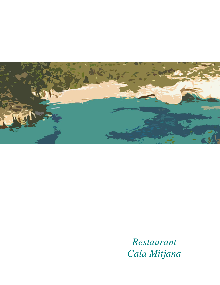

 *Restaurant Cala Mitjana*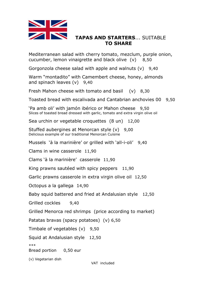

# **TAPAS AND STARTERS**... SUITABLE **TO SHARE**

Mediterranean salad with cherry tomato, mezclum, purple onion, cucumber, lemon vinaigrette and black olive (v) 8,50

Gorgonzola cheese salad with apple and walnuts (v) 9,40

Warm "montadito" with Camembert cheese, honey, almonds and spinach leaves (v) 9,40

Fresh Mahon cheese with tomato and basil (v) 8,30

Toasted bread with escalivada and Cantabrian anchovies 00 9,50

'Pa amb oli' with jamón ibérico or Mahon cheese 9,50 Slices of toasted bread dressed with garlic, tomato and extra virgin olive oil

Sea urchin or vegetable croquettes (8 un) 12,00

Stuffed aubergines at Menorcan style (v) 9,00 Delicious example of our traditional Menorcan Cuisine

Mussels 'à la marinière' or grilled with 'all-i-oli' 9,40

Clams in wine casserole 11,90

Clams 'à la marinière' casserole 11,90

King prawns sautéed with spicy peppers 11,90

Garlic prawns casserole in extra virgin olive oil 12,50

Octopus a la gallega 14,90

Baby squid battered and fried at Andalusian style 12,50

Grilled cockles 9,40

Grilled Menorca red shrimps (price according to market)

Patatas bravas (spacy potatoes) (v) 6,50

Timbale of vegetables (v) 9,50

Squid at Andalusian style 12,50

\*\*\*

Bread portion 0,50 eur

(v) Vegetarian dish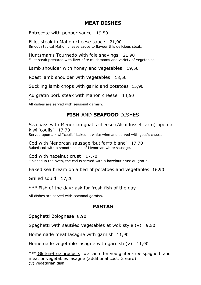# **MEAT DISHES**

Entrecote with pepper sauce 19,50

Fillet steak in Mahon cheese sauce 21,90 Smooth typical Mahon cheese sauce to flavour this delicious steak.

Huntsman's Tournedó with foie shavings 21,90 Fillet steak prepared with liver pâté mushrooms and variety of vegetables.

Lamb shoulder with honey and vegetables 19,50

Roast lamb shoulder with vegetables 18,50

Suckling lamb chops with garlic and potatoes 15,90

Au gratin pork steak with Mahon cheese 14,50 \*\*\*

All dishes are served with seasonal garnish.

## **FISH** AND **SEAFOOD** DISHES

Sea bass with Menorcan goat's cheese (Alcaidusset farm) upon a kiwi 'coulis' 17,70 Served upon a kiwi "coulis" baked in white wine and served with goat's cheese.

Cod with Menorcan sausage 'butifarró blanc' 17,70 Baked cod with a smooth sauce of Menorcan white sausage.

Cod with hazelnut crust 17,70 Finished in the oven, the cod is served with a hazelnut crust au gratin.

Baked sea bream on a bed of potatoes and vegetables 16,90

Grilled squid 17,20

\*\*\* Fish of the day: ask for fresh fish of the day

All dishes are served with seasonal garnish.

### **PASTAS**

Spaghetti Bolognese 8,90

Spaghetti with sautéed vegetables at wok style (v) 9,50

Homemade meat lasagne with garnish 11,90

Homemade vegetable lasagne with garnish  $(v)$  11,90

\*\*\* Gluten-free products: we can offer you gluten-free spaghetti and meat or vegetables lasagne (additional cost: 2 euro) (v) vegetarian dish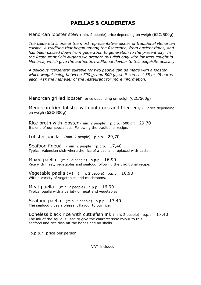# **PAELLAS** & **CALDERETAS**

Menorcan lobster stew (min. 2 people) price depending on weigh (62€/500g)

*The caldereta is one of the most representative dishes of traditional Menorcan cuisine. A tradition that began among the fishermen, from ancient times, and has been passed down from generation to generation to the present day. In the Restaurant Cala Mitjana we prepare this dish only with lobsters caught in Menorca, which give the authentic traditional flavour to this exquisite delicacy.*

*A delicious "caldereta" suitable for two people can be made with a lobster which weight being between 700 g. and 800 g., so it can cost 35 or 45 euros each. Ask the manager of the restaurant for more information.*

Menorcan grilled lobster price depending on weigh (62€/500g)

Menorcan fried lobster with potatoes and fried eggs price depending on weigh (62€/500g)

Rice broth with lobster (min. 2 people) p.p.p. (500 gr) 29,70 It's one of our specialities. Following the traditional recipe.

Lobster paella (min. 2 people) p.p.p. 29,70

Seafood fideuà (min. 2 people) p.p.p. 17,40 Typical Valencian dish where the rice of a paella is replaced with pasta.

Mixed paella (min. 2 people) p.p.p. 16,90 Rice with meat, vegetables and seafood following the traditional recipe.

Vegetable paella (v) (min. 2 people) p.p.p. 16,90 With a variety of vegetables and mushrooms.

Meat paella (min. 2 people) p.p.p. 16,90 Typical paella with a variety of meat and vegetables.

Seafood paella (min. 2 people) p.p.p. 17,40 The seafood gives a pleasant flavour to our rice.

Boneless black rice with cuttlefish ink (min. 2 people) p.p.p. 17,40 The ink of the squid is used to give the characteristic colour to this seafood and rice dish off the bones and no shells.

"p.p.p.": price per person

VAT included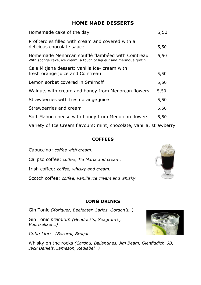# **HOME MADE DESSERTS**

| Homemade cake of the day                                                                                                 | 5,50 |
|--------------------------------------------------------------------------------------------------------------------------|------|
| Profiteroles filled with cream and covered with a<br>delicious chocolate sauce                                           | 5,50 |
| Homemade Menorcan soufflé flambéed with Cointreau<br>With sponge cake, ice cream, a touch of liqueur and meringue gratin | 5,50 |
| Cala Mitjana dessert: vanilla ice- cream with                                                                            |      |
| fresh orange juice and Cointreau                                                                                         | 5,50 |
| Lemon sorbet covered in Smirnoff                                                                                         | 5,50 |
| Walnuts with cream and honey from Menorcan flowers                                                                       | 5,50 |
| Strawberries with fresh orange juice                                                                                     | 5,50 |
| Strawberries and cream                                                                                                   | 5,50 |
| Soft Mahon cheese with honey from Menorcan flowers                                                                       | 5,50 |
|                                                                                                                          |      |

Variety of Ice Cream flavours: mint, chocolate, vanilla, strawberry.

### **COFFEES**

Capuccino: *coffee with cream.*

Calipso coffee: *coffee, Tia Maria and cream.* 

Irish coffee: *coffee, whisky and cream.*

Scotch coffee: *coffee, vanilla ice cream and whisky.* …

#### **LONG DRINKS**

Gin Tonic *(Xoriguer, Beefeater, Larios, Gordon's…)*

Gin Tonic *premium (Hendrick's, Seagram's, Voortrekker…)*

*Cuba Libre (Bacardi, Brugal…*

Whisky on the rocks *(Cardhu, Ballantines, Jim Beam, Glenfiddich, JB, Jack Daniels, Jameson, Redlabel…)*